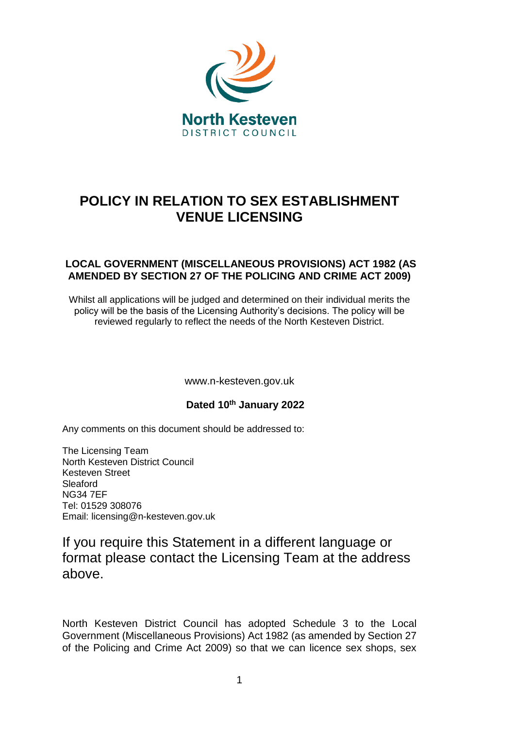

# **POLICY IN RELATION TO SEX ESTABLISHMENT VENUE LICENSING**

# **LOCAL GOVERNMENT (MISCELLANEOUS PROVISIONS) ACT 1982 (AS AMENDED BY SECTION 27 OF THE POLICING AND CRIME ACT 2009)**

Whilst all applications will be judged and determined on their individual merits the policy will be the basis of the Licensing Authority's decisions. The policy will be reviewed regularly to reflect the needs of the North Kesteven District.

www.n-kesteven.gov.uk

## **Dated 10th January 2022**

Any comments on this document should be addressed to:

The Licensing Team North Kesteven District Council Kesteven Street Sleaford NG34 7EF Tel: 01529 308076 Email: licensing@n-kesteven.gov.uk

# If you require this Statement in a different language or format please contact the Licensing Team at the address above.

North Kesteven District Council has adopted Schedule 3 to the Local Government (Miscellaneous Provisions) Act 1982 (as amended by Section 27 of the Policing and Crime Act 2009) so that we can licence sex shops, sex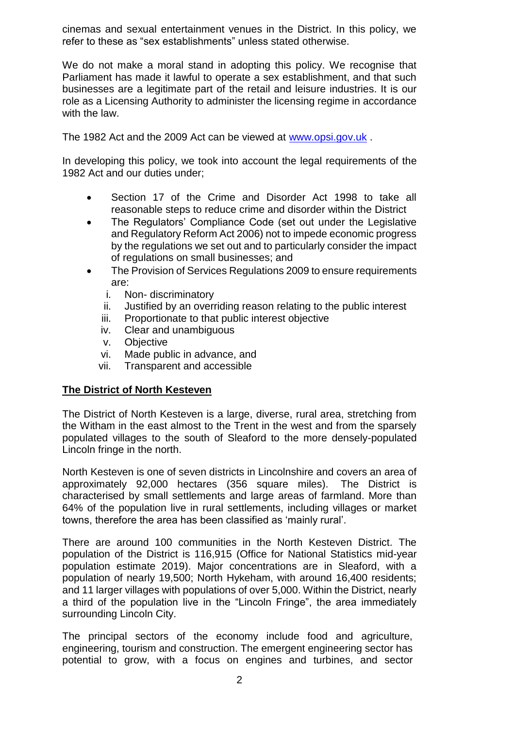cinemas and sexual entertainment venues in the District. In this policy, we refer to these as "sex establishments" unless stated otherwise.

We do not make a moral stand in adopting this policy. We recognise that Parliament has made it lawful to operate a sex establishment, and that such businesses are a legitimate part of the retail and leisure industries. It is our role as a Licensing Authority to administer the licensing regime in accordance with the law.

The 1982 Act and the 2009 Act can be viewed at [www.opsi.gov.uk](http://www.opsi.gov.uk/) .

In developing this policy, we took into account the legal requirements of the 1982 Act and our duties under;

- Section 17 of the Crime and Disorder Act 1998 to take all reasonable steps to reduce crime and disorder within the District
- The Regulators' Compliance Code (set out under the Legislative and Regulatory Reform Act 2006) not to impede economic progress by the regulations we set out and to particularly consider the impact of regulations on small businesses; and
- The Provision of Services Regulations 2009 to ensure requirements are:
	- i. Non- discriminatory
	- ii. Justified by an overriding reason relating to the public interest
	- iii. Proportionate to that public interest objective
	- iv. Clear and unambiguous
	- v. Objective
	- vi. Made public in advance, and
	- vii. Transparent and accessible

## **The District of North Kesteven**

The District of North Kesteven is a large, diverse, rural area, stretching from the Witham in the east almost to the Trent in the west and from the sparsely populated villages to the south of Sleaford to the more densely-populated Lincoln fringe in the north.

North Kesteven is one of seven districts in Lincolnshire and covers an area of approximately 92,000 hectares (356 square miles). The District is characterised by small settlements and large areas of farmland. More than 64% of the population live in rural settlements, including villages or market towns, therefore the area has been classified as 'mainly rural'.

There are around 100 communities in the North Kesteven District. The population of the District is 116,915 (Office for National Statistics mid-year population estimate 2019). Major concentrations are in Sleaford, with a population of nearly 19,500; North Hykeham, with around 16,400 residents; and 11 larger villages with populations of over 5,000. Within the District, nearly a third of the population live in the "Lincoln Fringe", the area immediately surrounding Lincoln City.

The principal sectors of the economy include food and agriculture, engineering, tourism and construction. The emergent engineering sector has potential to grow, with a focus on engines and turbines, and sector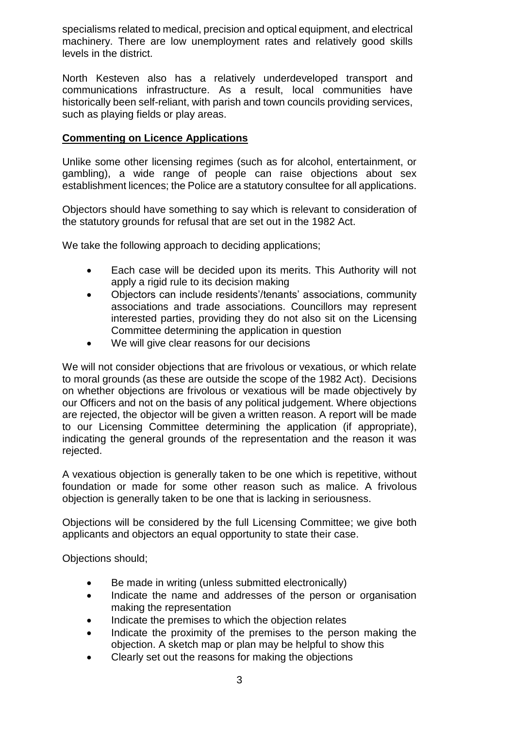specialisms related to medical, precision and optical equipment, and electrical machinery. There are low unemployment rates and relatively good skills levels in the district.

North Kesteven also has a relatively underdeveloped transport and communications infrastructure. As a result, local communities have historically been self-reliant, with parish and town councils providing services, such as playing fields or play areas.

#### **Commenting on Licence Applications**

Unlike some other licensing regimes (such as for alcohol, entertainment, or gambling), a wide range of people can raise objections about sex establishment licences; the Police are a statutory consultee for all applications.

Objectors should have something to say which is relevant to consideration of the statutory grounds for refusal that are set out in the 1982 Act.

We take the following approach to deciding applications;

- Each case will be decided upon its merits. This Authority will not apply a rigid rule to its decision making
- Objectors can include residents'/tenants' associations, community associations and trade associations. Councillors may represent interested parties, providing they do not also sit on the Licensing Committee determining the application in question
- We will give clear reasons for our decisions

We will not consider objections that are frivolous or vexatious, or which relate to moral grounds (as these are outside the scope of the 1982 Act). Decisions on whether objections are frivolous or vexatious will be made objectively by our Officers and not on the basis of any political judgement. Where objections are rejected, the objector will be given a written reason. A report will be made to our Licensing Committee determining the application (if appropriate), indicating the general grounds of the representation and the reason it was rejected.

A vexatious objection is generally taken to be one which is repetitive, without foundation or made for some other reason such as malice. A frivolous objection is generally taken to be one that is lacking in seriousness.

Objections will be considered by the full Licensing Committee; we give both applicants and objectors an equal opportunity to state their case.

Objections should;

- Be made in writing (unless submitted electronically)
- Indicate the name and addresses of the person or organisation making the representation
- Indicate the premises to which the objection relates
- Indicate the proximity of the premises to the person making the objection. A sketch map or plan may be helpful to show this
- Clearly set out the reasons for making the objections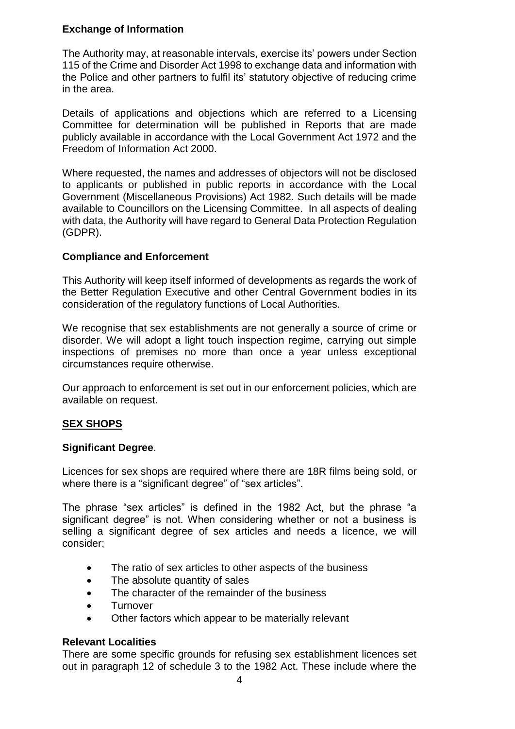# **Exchange of Information**

The Authority may, at reasonable intervals, exercise its' powers under Section 115 of the Crime and Disorder Act 1998 to exchange data and information with the Police and other partners to fulfil its' statutory objective of reducing crime in the area.

Details of applications and objections which are referred to a Licensing Committee for determination will be published in Reports that are made publicly available in accordance with the Local Government Act 1972 and the Freedom of Information Act 2000.

Where requested, the names and addresses of objectors will not be disclosed to applicants or published in public reports in accordance with the Local Government (Miscellaneous Provisions) Act 1982. Such details will be made available to Councillors on the Licensing Committee. In all aspects of dealing with data, the Authority will have regard to General Data Protection Regulation (GDPR).

#### **Compliance and Enforcement**

This Authority will keep itself informed of developments as regards the work of the Better Regulation Executive and other Central Government bodies in its consideration of the regulatory functions of Local Authorities.

We recognise that sex establishments are not generally a source of crime or disorder. We will adopt a light touch inspection regime, carrying out simple inspections of premises no more than once a year unless exceptional circumstances require otherwise.

Our approach to enforcement is set out in our enforcement policies, which are available on request.

## **SEX SHOPS**

#### **Significant Degree**.

Licences for sex shops are required where there are 18R films being sold, or where there is a "significant degree" of "sex articles".

The phrase "sex articles" is defined in the 1982 Act, but the phrase "a significant degree" is not. When considering whether or not a business is selling a significant degree of sex articles and needs a licence, we will consider;

- The ratio of sex articles to other aspects of the business
- The absolute quantity of sales
- The character of the remainder of the business
- Turnover
- Other factors which appear to be materially relevant

#### **Relevant Localities**

There are some specific grounds for refusing sex establishment licences set out in paragraph 12 of schedule 3 to the 1982 Act. These include where the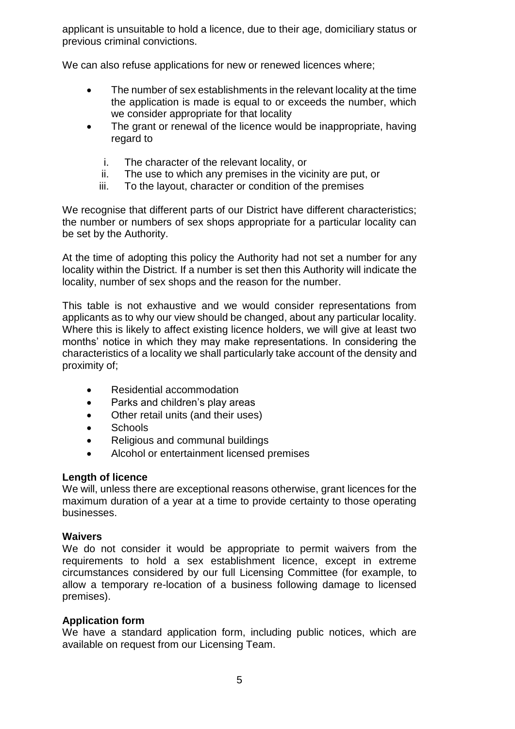applicant is unsuitable to hold a licence, due to their age, domiciliary status or previous criminal convictions.

We can also refuse applications for new or renewed licences where;

- The number of sex establishments in the relevant locality at the time the application is made is equal to or exceeds the number, which we consider appropriate for that locality
- The grant or renewal of the licence would be inappropriate, having regard to
	- i. The character of the relevant locality, or
	- ii. The use to which any premises in the vicinity are put, or
	- iii. To the layout, character or condition of the premises

We recognise that different parts of our District have different characteristics; the number or numbers of sex shops appropriate for a particular locality can be set by the Authority.

At the time of adopting this policy the Authority had not set a number for any locality within the District. If a number is set then this Authority will indicate the locality, number of sex shops and the reason for the number.

This table is not exhaustive and we would consider representations from applicants as to why our view should be changed, about any particular locality. Where this is likely to affect existing licence holders, we will give at least two months' notice in which they may make representations. In considering the characteristics of a locality we shall particularly take account of the density and proximity of;

- Residential accommodation
- Parks and children's play areas
- Other retail units (and their uses)
- Schools
- Religious and communal buildings
- Alcohol or entertainment licensed premises

#### **Length of licence**

We will, unless there are exceptional reasons otherwise, grant licences for the maximum duration of a year at a time to provide certainty to those operating businesses.

#### **Waivers**

We do not consider it would be appropriate to permit waivers from the requirements to hold a sex establishment licence, except in extreme circumstances considered by our full Licensing Committee (for example, to allow a temporary re-location of a business following damage to licensed premises).

#### **Application form**

We have a standard application form, including public notices, which are available on request from our Licensing Team.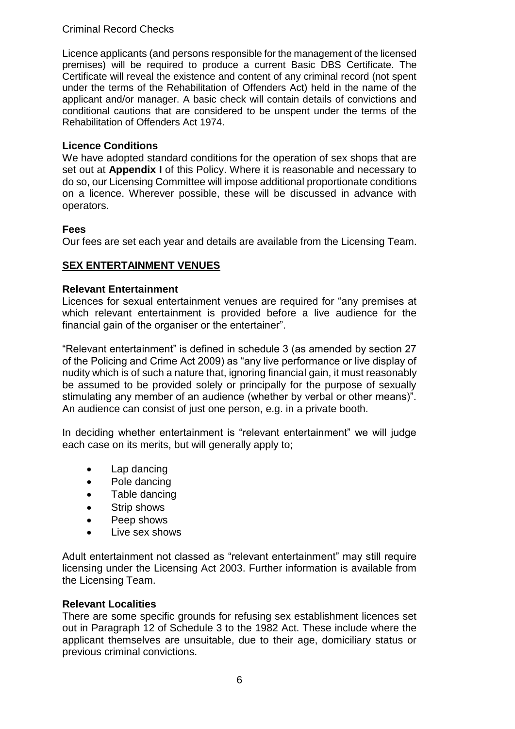## Criminal Record Checks

Licence applicants (and persons responsible for the management of the licensed premises) will be required to produce a current Basic DBS Certificate. The Certificate will reveal the existence and content of any criminal record (not spent under the terms of the Rehabilitation of Offenders Act) held in the name of the applicant and/or manager. A basic check will contain details of convictions and conditional cautions that are considered to be unspent under the terms of the Rehabilitation of Offenders Act 1974.

#### **Licence Conditions**

We have adopted standard conditions for the operation of sex shops that are set out at **Appendix I** of this Policy. Where it is reasonable and necessary to do so, our Licensing Committee will impose additional proportionate conditions on a licence. Wherever possible, these will be discussed in advance with operators.

#### **Fees**

Our fees are set each year and details are available from the Licensing Team.

# **SEX ENTERTAINMENT VENUES**

#### **Relevant Entertainment**

Licences for sexual entertainment venues are required for "any premises at which relevant entertainment is provided before a live audience for the financial gain of the organiser or the entertainer".

"Relevant entertainment" is defined in schedule 3 (as amended by section 27 of the Policing and Crime Act 2009) as "any live performance or live display of nudity which is of such a nature that, ignoring financial gain, it must reasonably be assumed to be provided solely or principally for the purpose of sexually stimulating any member of an audience (whether by verbal or other means)". An audience can consist of just one person, e.g. in a private booth.

In deciding whether entertainment is "relevant entertainment" we will judge each case on its merits, but will generally apply to;

- Lap dancing
- Pole dancing
- Table dancing
- Strip shows
- Peep shows
- Live sex shows

Adult entertainment not classed as "relevant entertainment" may still require licensing under the Licensing Act 2003. Further information is available from the Licensing Team.

#### **Relevant Localities**

There are some specific grounds for refusing sex establishment licences set out in Paragraph 12 of Schedule 3 to the 1982 Act. These include where the applicant themselves are unsuitable, due to their age, domiciliary status or previous criminal convictions.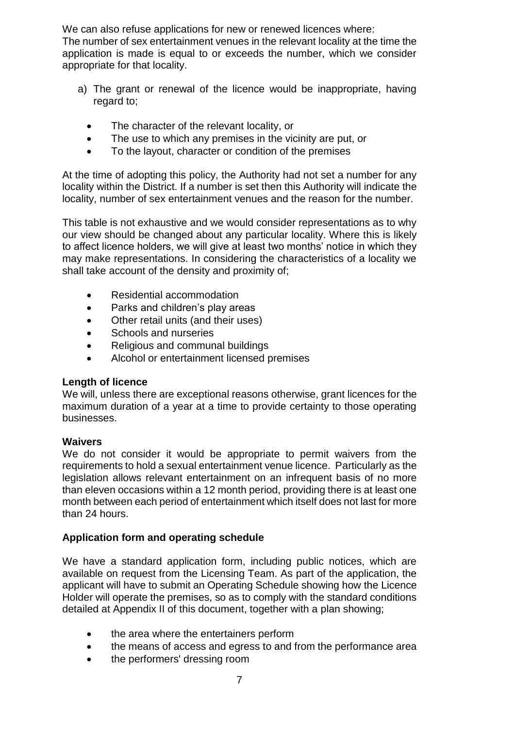We can also refuse applications for new or renewed licences where: The number of sex entertainment venues in the relevant locality at the time the application is made is equal to or exceeds the number, which we consider appropriate for that locality.

- a) The grant or renewal of the licence would be inappropriate, having regard to;
	- The character of the relevant locality, or
	- The use to which any premises in the vicinity are put, or
	- To the layout, character or condition of the premises

At the time of adopting this policy, the Authority had not set a number for any locality within the District. If a number is set then this Authority will indicate the locality, number of sex entertainment venues and the reason for the number.

This table is not exhaustive and we would consider representations as to why our view should be changed about any particular locality. Where this is likely to affect licence holders, we will give at least two months' notice in which they may make representations. In considering the characteristics of a locality we shall take account of the density and proximity of;

- Residential accommodation
- Parks and children's play areas
- Other retail units (and their uses)
- Schools and nurseries
- Religious and communal buildings
- Alcohol or entertainment licensed premises

#### **Length of licence**

We will, unless there are exceptional reasons otherwise, grant licences for the maximum duration of a year at a time to provide certainty to those operating businesses.

#### **Waivers**

We do not consider it would be appropriate to permit waivers from the requirements to hold a sexual entertainment venue licence. Particularly as the legislation allows relevant entertainment on an infrequent basis of no more than eleven occasions within a 12 month period, providing there is at least one month between each period of entertainment which itself does not last for more than 24 hours.

#### **Application form and operating schedule**

We have a standard application form, including public notices, which are available on request from the Licensing Team. As part of the application, the applicant will have to submit an Operating Schedule showing how the Licence Holder will operate the premises, so as to comply with the standard conditions detailed at Appendix II of this document, together with a plan showing;

- the area where the entertainers perform
- the means of access and egress to and from the performance area
- the performers' dressing room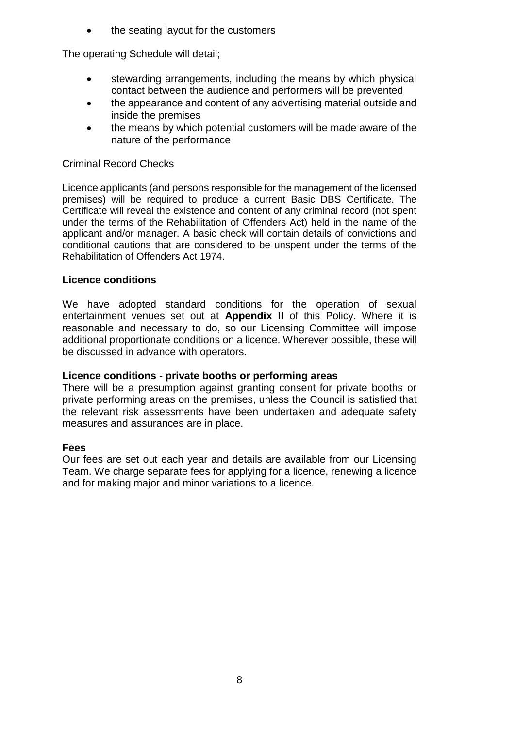the seating layout for the customers

The operating Schedule will detail;

- stewarding arrangements, including the means by which physical contact between the audience and performers will be prevented
- the appearance and content of any advertising material outside and inside the premises
- the means by which potential customers will be made aware of the nature of the performance

#### Criminal Record Checks

Licence applicants (and persons responsible for the management of the licensed premises) will be required to produce a current Basic DBS Certificate. The Certificate will reveal the existence and content of any criminal record (not spent under the terms of the Rehabilitation of Offenders Act) held in the name of the applicant and/or manager. A basic check will contain details of convictions and conditional cautions that are considered to be unspent under the terms of the Rehabilitation of Offenders Act 1974.

#### **Licence conditions**

We have adopted standard conditions for the operation of sexual entertainment venues set out at **Appendix II** of this Policy. Where it is reasonable and necessary to do, so our Licensing Committee will impose additional proportionate conditions on a licence. Wherever possible, these will be discussed in advance with operators.

#### **Licence conditions - private booths or performing areas**

There will be a presumption against granting consent for private booths or private performing areas on the premises, unless the Council is satisfied that the relevant risk assessments have been undertaken and adequate safety measures and assurances are in place.

#### **Fees**

Our fees are set out each year and details are available from our Licensing Team. We charge separate fees for applying for a licence, renewing a licence and for making major and minor variations to a licence.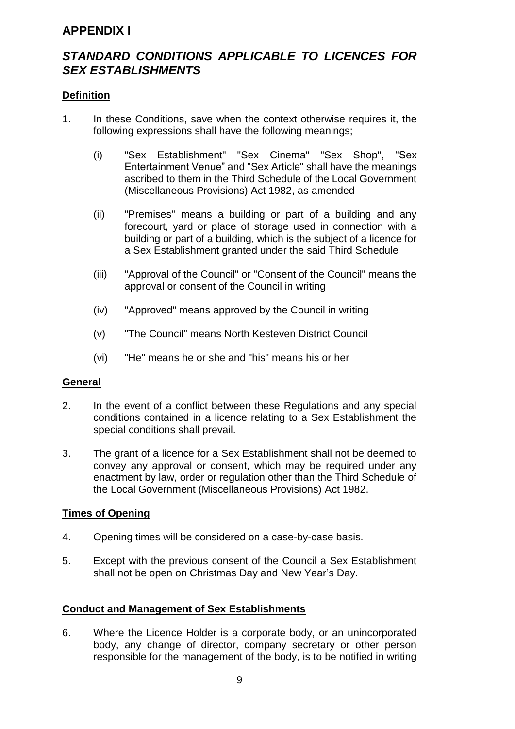# **APPENDIX I**

# *STANDARD CONDITIONS APPLICABLE TO LICENCES FOR SEX ESTABLISHMENTS*

#### **Definition**

- 1. In these Conditions, save when the context otherwise requires it, the following expressions shall have the following meanings;
	- (i) "Sex Establishment" "Sex Cinema" "Sex Shop", "Sex Entertainment Venue" and "Sex Article" shall have the meanings ascribed to them in the Third Schedule of the Local Government (Miscellaneous Provisions) Act 1982, as amended
	- (ii) "Premises" means a building or part of a building and any forecourt, yard or place of storage used in connection with a building or part of a building, which is the subject of a licence for a Sex Establishment granted under the said Third Schedule
	- (iii) "Approval of the Council" or "Consent of the Council" means the approval or consent of the Council in writing
	- (iv) "Approved" means approved by the Council in writing
	- (v) "The Council" means North Kesteven District Council
	- (vi) "He" means he or she and "his" means his or her

#### **General**

- 2. In the event of a conflict between these Regulations and any special conditions contained in a licence relating to a Sex Establishment the special conditions shall prevail.
- 3. The grant of a licence for a Sex Establishment shall not be deemed to convey any approval or consent, which may be required under any enactment by law, order or regulation other than the Third Schedule of the Local Government (Miscellaneous Provisions) Act 1982.

#### **Times of Opening**

- 4. Opening times will be considered on a case-by-case basis.
- 5. Except with the previous consent of the Council a Sex Establishment shall not be open on Christmas Day and New Year's Day.

#### **Conduct and Management of Sex Establishments**

6. Where the Licence Holder is a corporate body, or an unincorporated body, any change of director, company secretary or other person responsible for the management of the body, is to be notified in writing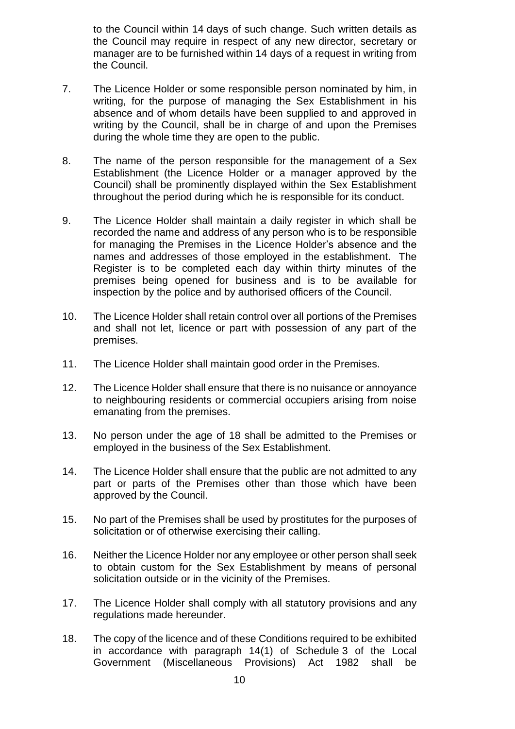to the Council within 14 days of such change. Such written details as the Council may require in respect of any new director, secretary or manager are to be furnished within 14 days of a request in writing from the Council.

- 7. The Licence Holder or some responsible person nominated by him, in writing, for the purpose of managing the Sex Establishment in his absence and of whom details have been supplied to and approved in writing by the Council, shall be in charge of and upon the Premises during the whole time they are open to the public.
- 8. The name of the person responsible for the management of a Sex Establishment (the Licence Holder or a manager approved by the Council) shall be prominently displayed within the Sex Establishment throughout the period during which he is responsible for its conduct.
- 9. The Licence Holder shall maintain a daily register in which shall be recorded the name and address of any person who is to be responsible for managing the Premises in the Licence Holder's absence and the names and addresses of those employed in the establishment. The Register is to be completed each day within thirty minutes of the premises being opened for business and is to be available for inspection by the police and by authorised officers of the Council.
- 10. The Licence Holder shall retain control over all portions of the Premises and shall not let, licence or part with possession of any part of the premises.
- 11. The Licence Holder shall maintain good order in the Premises.
- 12. The Licence Holder shall ensure that there is no nuisance or annoyance to neighbouring residents or commercial occupiers arising from noise emanating from the premises.
- 13. No person under the age of 18 shall be admitted to the Premises or employed in the business of the Sex Establishment.
- 14. The Licence Holder shall ensure that the public are not admitted to any part or parts of the Premises other than those which have been approved by the Council.
- 15. No part of the Premises shall be used by prostitutes for the purposes of solicitation or of otherwise exercising their calling.
- 16. Neither the Licence Holder nor any employee or other person shall seek to obtain custom for the Sex Establishment by means of personal solicitation outside or in the vicinity of the Premises.
- 17. The Licence Holder shall comply with all statutory provisions and any regulations made hereunder.
- 18. The copy of the licence and of these Conditions required to be exhibited in accordance with paragraph 14(1) of Schedule 3 of the Local Government (Miscellaneous Provisions) Act 1982 shall be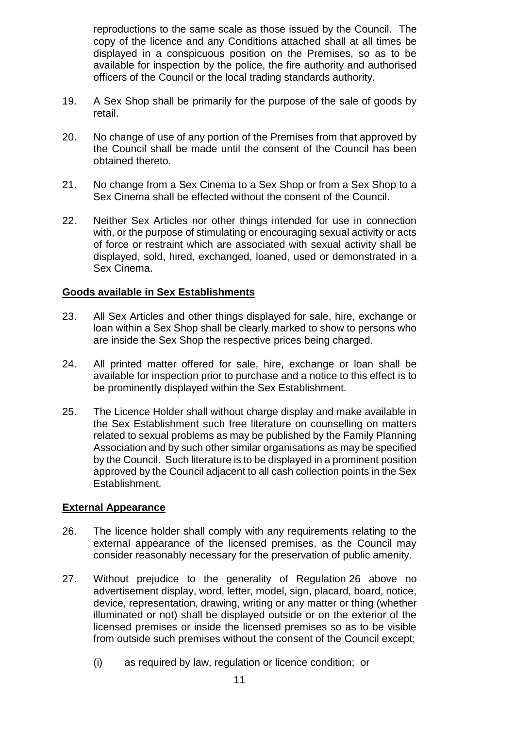reproductions to the same scale as those issued by the Council. The copy of the licence and any Conditions attached shall at all times be displayed in a conspicuous position on the Premises, so as to be available for inspection by the police, the fire authority and authorised officers of the Council or the local trading standards authority.

- 19. A Sex Shop shall be primarily for the purpose of the sale of goods by retail.
- 20. No change of use of any portion of the Premises from that approved by the Council shall be made until the consent of the Council has been obtained thereto.
- 21. No change from a Sex Cinema to a Sex Shop or from a Sex Shop to a Sex Cinema shall be effected without the consent of the Council.
- 22. Neither Sex Articles nor other things intended for use in connection with, or the purpose of stimulating or encouraging sexual activity or acts of force or restraint which are associated with sexual activity shall be displayed, sold, hired, exchanged, loaned, used or demonstrated in a Sex Cinema.

#### **Goods available in Sex Establishments**

- 23. All Sex Articles and other things displayed for sale, hire, exchange or loan within a Sex Shop shall be clearly marked to show to persons who are inside the Sex Shop the respective prices being charged.
- 24. All printed matter offered for sale, hire, exchange or loan shall be available for inspection prior to purchase and a notice to this effect is to be prominently displayed within the Sex Establishment.
- 25. The Licence Holder shall without charge display and make available in the Sex Establishment such free literature on counselling on matters related to sexual problems as may be published by the Family Planning Association and by such other similar organisations as may be specified by the Council. Such literature is to be displayed in a prominent position approved by the Council adjacent to all cash collection points in the Sex Establishment.

#### **External Appearance**

- 26. The licence holder shall comply with any requirements relating to the external appearance of the licensed premises, as the Council may consider reasonably necessary for the preservation of public amenity.
- 27. Without prejudice to the generality of Regulation 26 above no advertisement display, word, letter, model, sign, placard, board, notice, device, representation, drawing, writing or any matter or thing (whether illuminated or not) shall be displayed outside or on the exterior of the licensed premises or inside the licensed premises so as to be visible from outside such premises without the consent of the Council except;
	- (i) as required by law, regulation or licence condition; or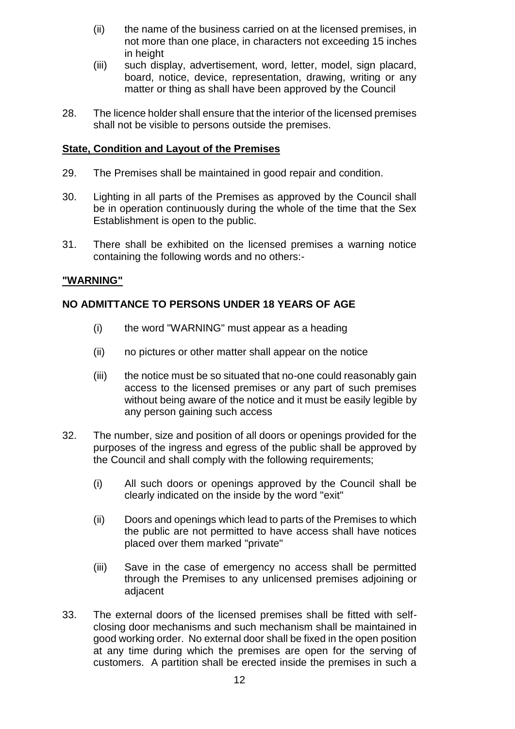- (ii) the name of the business carried on at the licensed premises, in not more than one place, in characters not exceeding 15 inches in height
- (iii) such display, advertisement, word, letter, model, sign placard, board, notice, device, representation, drawing, writing or any matter or thing as shall have been approved by the Council
- 28. The licence holder shall ensure that the interior of the licensed premises shall not be visible to persons outside the premises.

#### **State, Condition and Layout of the Premises**

- 29. The Premises shall be maintained in good repair and condition.
- 30. Lighting in all parts of the Premises as approved by the Council shall be in operation continuously during the whole of the time that the Sex Establishment is open to the public.
- 31. There shall be exhibited on the licensed premises a warning notice containing the following words and no others:-

#### **"WARNING"**

#### **NO ADMITTANCE TO PERSONS UNDER 18 YEARS OF AGE**

- (i) the word "WARNING" must appear as a heading
- (ii) no pictures or other matter shall appear on the notice
- (iii) the notice must be so situated that no-one could reasonably gain access to the licensed premises or any part of such premises without being aware of the notice and it must be easily legible by any person gaining such access
- 32. The number, size and position of all doors or openings provided for the purposes of the ingress and egress of the public shall be approved by the Council and shall comply with the following requirements;
	- (i) All such doors or openings approved by the Council shall be clearly indicated on the inside by the word "exit"
	- (ii) Doors and openings which lead to parts of the Premises to which the public are not permitted to have access shall have notices placed over them marked "private"
	- (iii) Save in the case of emergency no access shall be permitted through the Premises to any unlicensed premises adjoining or adjacent
- 33. The external doors of the licensed premises shall be fitted with selfclosing door mechanisms and such mechanism shall be maintained in good working order. No external door shall be fixed in the open position at any time during which the premises are open for the serving of customers. A partition shall be erected inside the premises in such a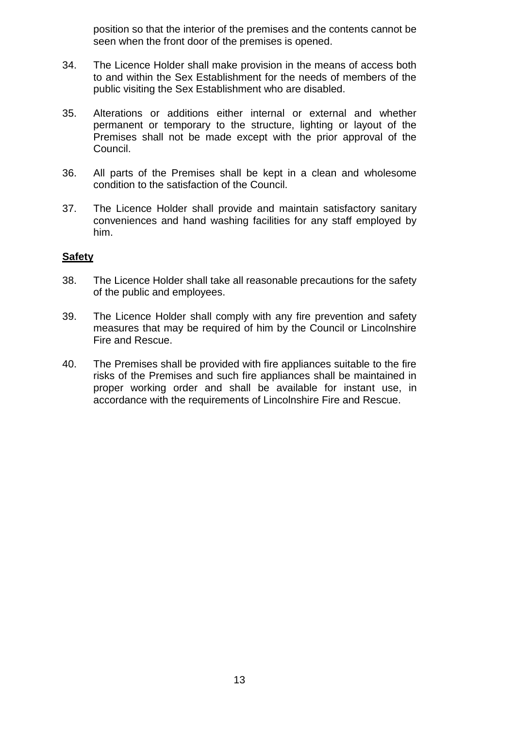position so that the interior of the premises and the contents cannot be seen when the front door of the premises is opened.

- 34. The Licence Holder shall make provision in the means of access both to and within the Sex Establishment for the needs of members of the public visiting the Sex Establishment who are disabled.
- 35. Alterations or additions either internal or external and whether permanent or temporary to the structure, lighting or layout of the Premises shall not be made except with the prior approval of the Council.
- 36. All parts of the Premises shall be kept in a clean and wholesome condition to the satisfaction of the Council.
- 37. The Licence Holder shall provide and maintain satisfactory sanitary conveniences and hand washing facilities for any staff employed by him.

#### **Safety**

- 38. The Licence Holder shall take all reasonable precautions for the safety of the public and employees.
- 39. The Licence Holder shall comply with any fire prevention and safety measures that may be required of him by the Council or Lincolnshire Fire and Rescue.
- 40. The Premises shall be provided with fire appliances suitable to the fire risks of the Premises and such fire appliances shall be maintained in proper working order and shall be available for instant use, in accordance with the requirements of Lincolnshire Fire and Rescue.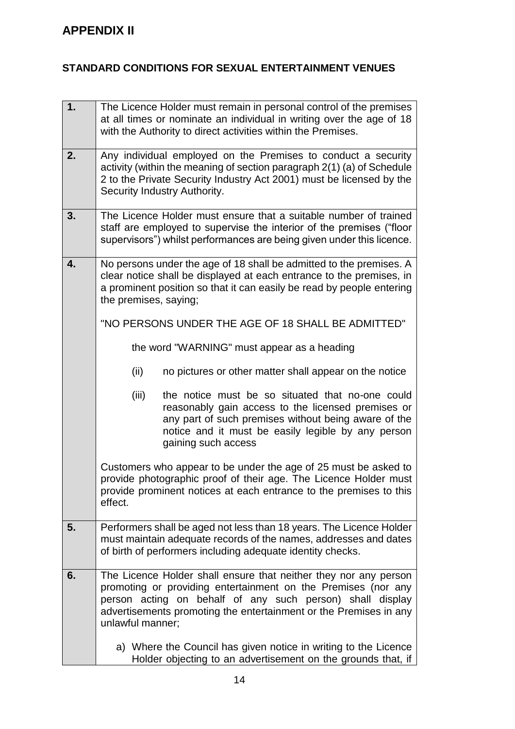# **STANDARD CONDITIONS FOR SEXUAL ENTERTAINMENT VENUES**

| 1. | The Licence Holder must remain in personal control of the premises                                                                                                                                                                                                                      |
|----|-----------------------------------------------------------------------------------------------------------------------------------------------------------------------------------------------------------------------------------------------------------------------------------------|
|    | at all times or nominate an individual in writing over the age of 18<br>with the Authority to direct activities within the Premises.                                                                                                                                                    |
| 2. |                                                                                                                                                                                                                                                                                         |
|    | Any individual employed on the Premises to conduct a security<br>activity (within the meaning of section paragraph 2(1) (a) of Schedule                                                                                                                                                 |
|    | 2 to the Private Security Industry Act 2001) must be licensed by the                                                                                                                                                                                                                    |
|    | Security Industry Authority.                                                                                                                                                                                                                                                            |
| 3. | The Licence Holder must ensure that a suitable number of trained                                                                                                                                                                                                                        |
|    | staff are employed to supervise the interior of the premises ("floor<br>supervisors") whilst performances are being given under this licence.                                                                                                                                           |
|    |                                                                                                                                                                                                                                                                                         |
| 4. | No persons under the age of 18 shall be admitted to the premises. A<br>clear notice shall be displayed at each entrance to the premises, in                                                                                                                                             |
|    | a prominent position so that it can easily be read by people entering                                                                                                                                                                                                                   |
|    | the premises, saying;                                                                                                                                                                                                                                                                   |
|    | "NO PERSONS UNDER THE AGE OF 18 SHALL BE ADMITTED"                                                                                                                                                                                                                                      |
|    | the word "WARNING" must appear as a heading                                                                                                                                                                                                                                             |
|    | (ii)<br>no pictures or other matter shall appear on the notice                                                                                                                                                                                                                          |
|    | (iii)<br>the notice must be so situated that no-one could<br>reasonably gain access to the licensed premises or<br>any part of such premises without being aware of the<br>notice and it must be easily legible by any person<br>gaining such access                                    |
|    | Customers who appear to be under the age of 25 must be asked to<br>provide photographic proof of their age. The Licence Holder must<br>provide prominent notices at each entrance to the premises to this<br>effect.                                                                    |
| 5. | Performers shall be aged not less than 18 years. The Licence Holder<br>must maintain adequate records of the names, addresses and dates<br>of birth of performers including adequate identity checks.                                                                                   |
| 6. | The Licence Holder shall ensure that neither they nor any person<br>promoting or providing entertainment on the Premises (nor any<br>person acting on behalf of any such person) shall display<br>advertisements promoting the entertainment or the Premises in any<br>unlawful manner; |
|    | a) Where the Council has given notice in writing to the Licence<br>Holder objecting to an advertisement on the grounds that, if                                                                                                                                                         |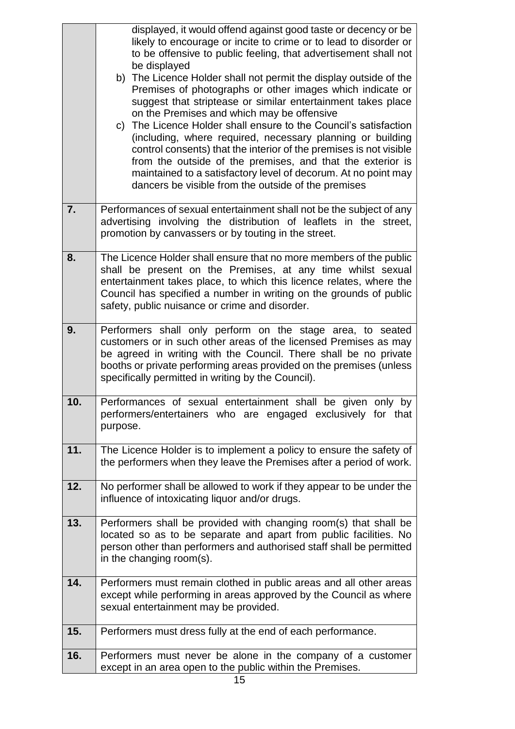|     | displayed, it would offend against good taste or decency or be<br>likely to encourage or incite to crime or to lead to disorder or<br>to be offensive to public feeling, that advertisement shall not<br>be displayed<br>b) The Licence Holder shall not permit the display outside of the<br>Premises of photographs or other images which indicate or<br>suggest that striptease or similar entertainment takes place<br>on the Premises and which may be offensive<br>The Licence Holder shall ensure to the Council's satisfaction<br>C)<br>(including, where required, necessary planning or building<br>control consents) that the interior of the premises is not visible<br>from the outside of the premises, and that the exterior is<br>maintained to a satisfactory level of decorum. At no point may<br>dancers be visible from the outside of the premises |
|-----|-------------------------------------------------------------------------------------------------------------------------------------------------------------------------------------------------------------------------------------------------------------------------------------------------------------------------------------------------------------------------------------------------------------------------------------------------------------------------------------------------------------------------------------------------------------------------------------------------------------------------------------------------------------------------------------------------------------------------------------------------------------------------------------------------------------------------------------------------------------------------|
| 7.  | Performances of sexual entertainment shall not be the subject of any<br>advertising involving the distribution of leaflets in the street,<br>promotion by canvassers or by touting in the street.                                                                                                                                                                                                                                                                                                                                                                                                                                                                                                                                                                                                                                                                       |
| 8.  | The Licence Holder shall ensure that no more members of the public<br>shall be present on the Premises, at any time whilst sexual<br>entertainment takes place, to which this licence relates, where the<br>Council has specified a number in writing on the grounds of public<br>safety, public nuisance or crime and disorder.                                                                                                                                                                                                                                                                                                                                                                                                                                                                                                                                        |
| 9.  | Performers shall only perform on the stage area, to seated<br>customers or in such other areas of the licensed Premises as may<br>be agreed in writing with the Council. There shall be no private<br>booths or private performing areas provided on the premises (unless<br>specifically permitted in writing by the Council).                                                                                                                                                                                                                                                                                                                                                                                                                                                                                                                                         |
| 10. | Performances of sexual entertainment shall be given only by<br>performers/entertainers who are engaged exclusively for that<br>purpose.                                                                                                                                                                                                                                                                                                                                                                                                                                                                                                                                                                                                                                                                                                                                 |
| 11. | The Licence Holder is to implement a policy to ensure the safety of<br>the performers when they leave the Premises after a period of work.                                                                                                                                                                                                                                                                                                                                                                                                                                                                                                                                                                                                                                                                                                                              |
| 12. | No performer shall be allowed to work if they appear to be under the<br>influence of intoxicating liquor and/or drugs.                                                                                                                                                                                                                                                                                                                                                                                                                                                                                                                                                                                                                                                                                                                                                  |
| 13. | Performers shall be provided with changing room(s) that shall be<br>located so as to be separate and apart from public facilities. No<br>person other than performers and authorised staff shall be permitted<br>in the changing room(s).                                                                                                                                                                                                                                                                                                                                                                                                                                                                                                                                                                                                                               |
| 14. | Performers must remain clothed in public areas and all other areas<br>except while performing in areas approved by the Council as where<br>sexual entertainment may be provided.                                                                                                                                                                                                                                                                                                                                                                                                                                                                                                                                                                                                                                                                                        |
| 15. | Performers must dress fully at the end of each performance.                                                                                                                                                                                                                                                                                                                                                                                                                                                                                                                                                                                                                                                                                                                                                                                                             |
| 16. | Performers must never be alone in the company of a customer<br>except in an area open to the public within the Premises.                                                                                                                                                                                                                                                                                                                                                                                                                                                                                                                                                                                                                                                                                                                                                |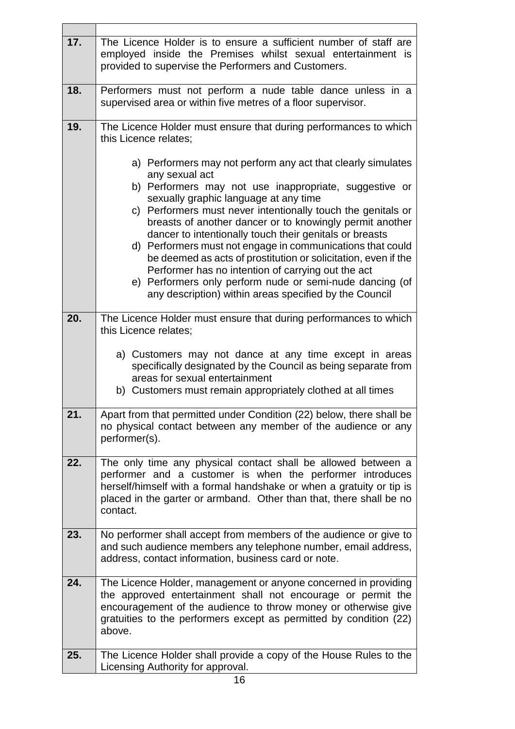| 17. | The Licence Holder is to ensure a sufficient number of staff are<br>employed inside the Premises whilst sexual entertainment is<br>provided to supervise the Performers and Customers.                                                                                                                                                                                                                                                                                                                                                                                                                                                                                                                                                                                            |
|-----|-----------------------------------------------------------------------------------------------------------------------------------------------------------------------------------------------------------------------------------------------------------------------------------------------------------------------------------------------------------------------------------------------------------------------------------------------------------------------------------------------------------------------------------------------------------------------------------------------------------------------------------------------------------------------------------------------------------------------------------------------------------------------------------|
| 18. | Performers must not perform a nude table dance unless in a<br>supervised area or within five metres of a floor supervisor.                                                                                                                                                                                                                                                                                                                                                                                                                                                                                                                                                                                                                                                        |
| 19. | The Licence Holder must ensure that during performances to which<br>this Licence relates;<br>a) Performers may not perform any act that clearly simulates<br>any sexual act<br>b) Performers may not use inappropriate, suggestive or<br>sexually graphic language at any time<br>c) Performers must never intentionally touch the genitals or<br>breasts of another dancer or to knowingly permit another<br>dancer to intentionally touch their genitals or breasts<br>d) Performers must not engage in communications that could<br>be deemed as acts of prostitution or solicitation, even if the<br>Performer has no intention of carrying out the act<br>e) Performers only perform nude or semi-nude dancing (of<br>any description) within areas specified by the Council |
| 20. | The Licence Holder must ensure that during performances to which<br>this Licence relates;<br>a) Customers may not dance at any time except in areas<br>specifically designated by the Council as being separate from<br>areas for sexual entertainment<br>b) Customers must remain appropriately clothed at all times                                                                                                                                                                                                                                                                                                                                                                                                                                                             |
| 21. | Apart from that permitted under Condition (22) below, there shall be<br>no physical contact between any member of the audience or any<br>performer(s).                                                                                                                                                                                                                                                                                                                                                                                                                                                                                                                                                                                                                            |
| 22. | The only time any physical contact shall be allowed between a<br>performer and a customer is when the performer introduces<br>herself/himself with a formal handshake or when a gratuity or tip is<br>placed in the garter or armband. Other than that, there shall be no<br>contact.                                                                                                                                                                                                                                                                                                                                                                                                                                                                                             |
| 23. | No performer shall accept from members of the audience or give to<br>and such audience members any telephone number, email address,<br>address, contact information, business card or note.                                                                                                                                                                                                                                                                                                                                                                                                                                                                                                                                                                                       |
| 24. | The Licence Holder, management or anyone concerned in providing<br>the approved entertainment shall not encourage or permit the<br>encouragement of the audience to throw money or otherwise give<br>gratuities to the performers except as permitted by condition (22)<br>above.                                                                                                                                                                                                                                                                                                                                                                                                                                                                                                 |
| 25. | The Licence Holder shall provide a copy of the House Rules to the<br>Licensing Authority for approval.                                                                                                                                                                                                                                                                                                                                                                                                                                                                                                                                                                                                                                                                            |